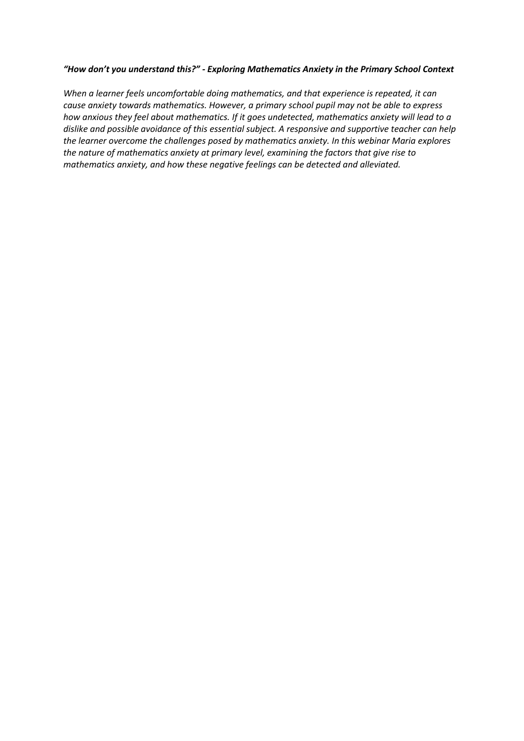## *"How don't you understand this?" - Exploring Mathematics Anxiety in the Primary School Context*

*When a learner feels uncomfortable doing mathematics, and that experience is repeated, it can cause anxiety towards mathematics. However, a primary school pupil may not be able to express how anxious they feel about mathematics. If it goes undetected, mathematics anxiety will lead to a dislike and possible avoidance of this essential subject. A responsive and supportive teacher can help the learner overcome the challenges posed by mathematics anxiety. In this webinar Maria explores the nature of mathematics anxiety at primary level, examining the factors that give rise to mathematics anxiety, and how these negative feelings can be detected and alleviated.*